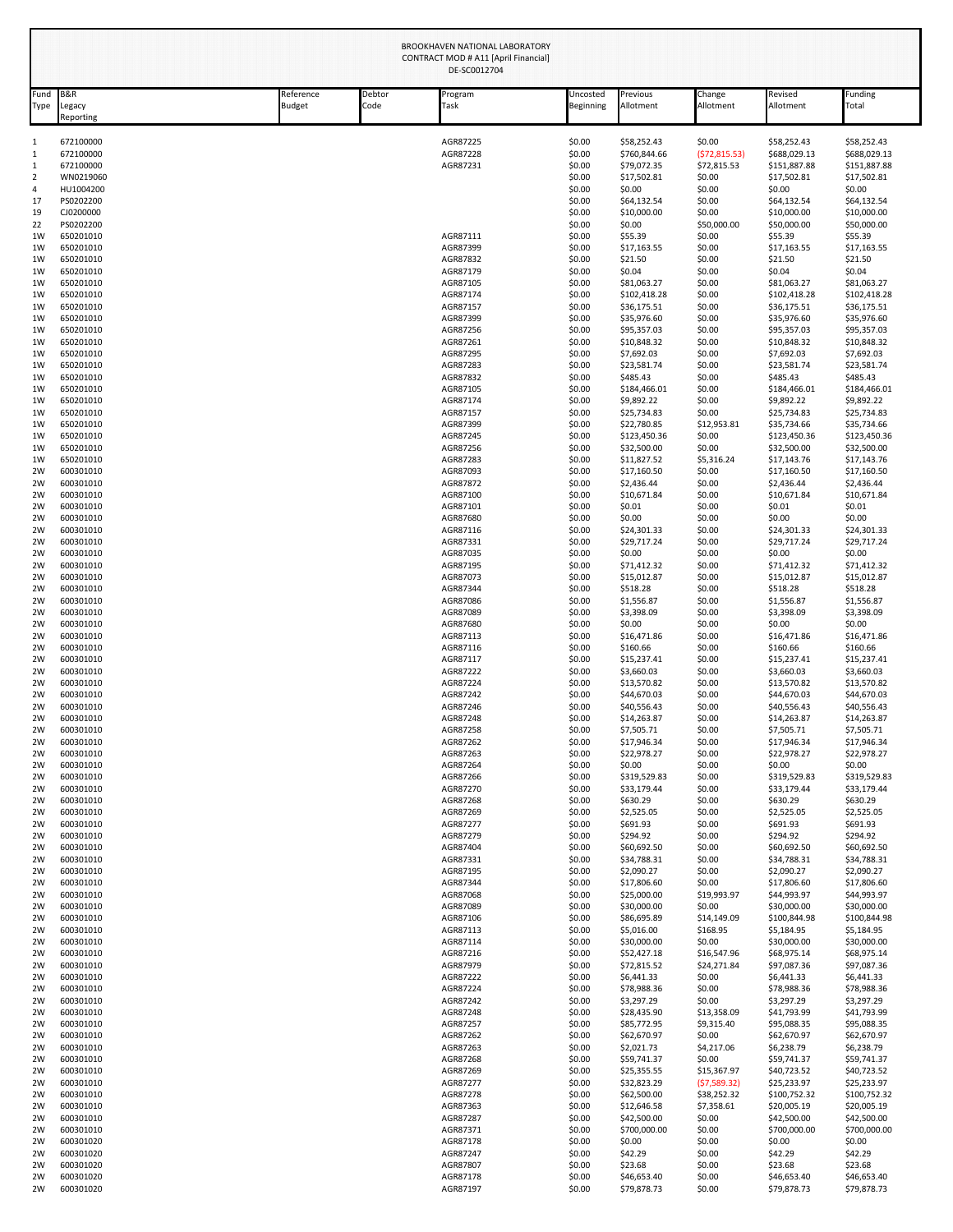| Fund                       | <b>B&amp;R</b>         | Reference | Debtor | Program              | Uncosted         | Previous                    | Change                       | Revised<br>Allotment         | Funding                      |
|----------------------------|------------------------|-----------|--------|----------------------|------------------|-----------------------------|------------------------------|------------------------------|------------------------------|
| Type                       | Legacy<br>Reporting    | Budget    | Code   | Task                 | Beginning        | Allotment                   | Allotment                    |                              | Total                        |
| $\mathbf{1}$               | 672100000              |           |        | AGR87225             | \$0.00           | \$58,252.43                 | \$0.00                       | \$58,252.43                  | \$58,252.43                  |
| 1<br>$\mathbf{1}$          | 672100000<br>672100000 |           |        | AGR87228<br>AGR87231 | \$0.00<br>\$0.00 | \$760,844.66<br>\$79,072.35 | (572, 815.53)<br>\$72,815.53 | \$688,029.13<br>\$151,887.88 | \$688,029.13<br>\$151,887.88 |
| $\overline{2}$             | WN0219060              |           |        |                      | \$0.00           | \$17,502.81                 | \$0.00                       | \$17,502.81                  | \$17,502.81                  |
| 4                          | HU1004200              |           |        |                      | \$0.00           | \$0.00                      | \$0.00                       | \$0.00                       | \$0.00                       |
| 17<br>19                   | PS0202200<br>CJ0200000 |           |        |                      | \$0.00<br>\$0.00 | \$64,132.54<br>\$10,000.00  | \$0.00<br>\$0.00             | \$64,132.54<br>\$10,000.00   | \$64,132.54<br>\$10,000.00   |
| 22                         | PS0202200              |           |        |                      | \$0.00           | \$0.00                      | \$50,000.00                  | \$50,000.00                  | \$50,000.00                  |
| 1W                         | 650201010              |           |        | AGR87111             | \$0.00           | \$55.39                     | \$0.00                       | \$55.39                      | \$55.39                      |
| 1W                         | 650201010              |           |        | AGR87399             | \$0.00           | \$17,163.55                 | \$0.00                       | \$17,163.55                  | \$17,163.55                  |
| 1W<br>1W                   | 650201010<br>650201010 |           |        | AGR87832<br>AGR87179 | \$0.00<br>\$0.00 | \$21.50<br>\$0.04           | \$0.00<br>\$0.00             | \$21.50<br>\$0.04            | \$21.50<br>\$0.04            |
| 1W                         | 650201010              |           |        | AGR87105             | \$0.00           | \$81,063.27                 | \$0.00                       | \$81,063.27                  | \$81,063.27                  |
| 1W                         | 650201010              |           |        | AGR87174             | \$0.00           | \$102,418.28                | \$0.00                       | \$102,418.28                 | \$102,418.28                 |
| 1W<br>1W                   | 650201010<br>650201010 |           |        | AGR87157<br>AGR87399 | \$0.00<br>\$0.00 | \$36,175.51<br>\$35,976.60  | \$0.00<br>\$0.00             | \$36,175.51<br>\$35,976.60   | \$36,175.51<br>\$35,976.60   |
| 1W                         | 650201010              |           |        | AGR87256             | \$0.00           | \$95,357.03                 | \$0.00                       | \$95,357.03                  | \$95,357.03                  |
| 1W                         | 650201010              |           |        | AGR87261             | \$0.00           | \$10,848.32                 | \$0.00                       | \$10,848.32                  | \$10,848.32                  |
| 1W<br>1W                   | 650201010<br>650201010 |           |        | AGR87295<br>AGR87283 | \$0.00<br>\$0.00 | \$7,692.03<br>\$23,581.74   | \$0.00<br>\$0.00             | \$7,692.03<br>\$23,581.74    | \$7,692.03<br>\$23,581.74    |
| 1W                         | 650201010              |           |        | AGR87832             | \$0.00           | \$485.43                    | \$0.00                       | \$485.43                     | \$485.43                     |
| 1W                         | 650201010              |           |        | AGR87105             | \$0.00           | \$184,466.01                | \$0.00                       | \$184,466.01                 | \$184,466.01                 |
| 1W                         | 650201010              |           |        | AGR87174<br>AGR87157 | \$0.00<br>\$0.00 | \$9,892.22                  | \$0.00<br>\$0.00             | \$9,892.22<br>\$25,734.83    | \$9,892.22<br>\$25,734.83    |
| 1W<br>1W                   | 650201010<br>650201010 |           |        | AGR87399             | \$0.00           | \$25,734.83<br>\$22,780.85  | \$12,953.81                  | \$35,734.66                  | \$35,734.66                  |
| 1W                         | 650201010              |           |        | AGR87245             | \$0.00           | \$123,450.36                | \$0.00                       | \$123,450.36                 | \$123,450.36                 |
| 1W                         | 650201010              |           |        | AGR87256             | \$0.00           | \$32,500.00                 | \$0.00                       | \$32,500.00                  | \$32,500.00                  |
| 1W<br>2W                   | 650201010<br>600301010 |           |        | AGR87283<br>AGR87093 | \$0.00<br>\$0.00 | \$11,827.52<br>\$17,160.50  | \$5,316.24<br>\$0.00         | \$17,143.76<br>\$17,160.50   | \$17,143.76<br>\$17,160.50   |
| 2W                         | 600301010              |           |        | AGR87872             | \$0.00           | \$2,436.44                  | \$0.00                       | \$2,436.44                   | \$2,436.44                   |
| 2W                         | 600301010              |           |        | AGR87100             | \$0.00           | \$10,671.84                 | \$0.00                       | \$10,671.84                  | \$10,671.84                  |
| 2W<br>2W                   | 600301010<br>600301010 |           |        | AGR87101<br>AGR87680 | \$0.00<br>\$0.00 | \$0.01<br>\$0.00            | \$0.00<br>\$0.00             | \$0.01<br>\$0.00             | \$0.01<br>\$0.00             |
| 2W                         | 600301010              |           |        | AGR87116             | \$0.00           | \$24,301.33                 | \$0.00                       | \$24,301.33                  | \$24,301.33                  |
| 2W                         | 600301010              |           |        | AGR87331             | \$0.00           | \$29,717.24                 | \$0.00                       | \$29,717.24                  | \$29,717.24                  |
| 2W<br>2W                   | 600301010<br>600301010 |           |        | AGR87035<br>AGR87195 | \$0.00<br>\$0.00 | \$0.00<br>\$71,412.32       | \$0.00<br>\$0.00             | \$0.00<br>\$71,412.32        | \$0.00<br>\$71,412.32        |
| 2W                         | 600301010              |           |        | AGR87073             | \$0.00           | \$15,012.87                 | \$0.00                       | \$15,012.87                  | \$15,012.87                  |
| 2W                         | 600301010              |           |        | AGR87344             | \$0.00           | \$518.28                    | \$0.00                       | \$518.28                     | \$518.28                     |
| 2W                         | 600301010              |           |        | AGR87086             | \$0.00           | \$1,556.87                  | \$0.00                       | \$1,556.87                   | \$1,556.87                   |
| 2W<br>2W                   | 600301010<br>600301010 |           |        | AGR87089<br>AGR87680 | \$0.00<br>\$0.00 | \$3,398.09<br>\$0.00        | \$0.00<br>\$0.00             | \$3,398.09<br>\$0.00         | \$3,398.09<br>\$0.00         |
| 2W                         | 600301010              |           |        | AGR87113             | \$0.00           | \$16,471.86                 | \$0.00                       | \$16,471.86                  | \$16,471.86                  |
| 2W                         | 600301010              |           |        | AGR87116             | \$0.00           | \$160.66                    | \$0.00                       | \$160.66                     | \$160.66                     |
| 2W<br>2W                   | 600301010<br>600301010 |           |        | AGR87117<br>AGR87222 | \$0.00<br>\$0.00 | \$15,237.41<br>\$3,660.03   | \$0.00<br>\$0.00             | \$15,237.41<br>\$3,660.03    | \$15,237.41<br>\$3,660.03    |
| 2W                         | 600301010              |           |        | AGR87224             | \$0.00           | \$13,570.82                 | \$0.00                       | \$13,570.82                  | \$13,570.82                  |
| 2W                         | 600301010              |           |        | AGR87242             | \$0.00           | \$44,670.03                 | \$0.00                       | \$44,670.03                  | \$44,670.03                  |
| 2W                         | 600301010              |           |        | AGR87246             | \$0.00           | \$40,556.43                 | \$0.00                       | \$40,556.43                  | \$40,556.43                  |
| 2W<br>2W                   | 600301010<br>600301010 |           |        | AGR87248<br>AGR87258 | \$0.00<br>\$0.00 | \$14,263.87<br>\$7,505.71   | \$0.00<br>\$0.00             | \$14,263.87<br>\$7,505.71    | \$14,263.87<br>\$7,505.71    |
| 2W                         | 600301010              |           |        | AGR87262             | \$0.00           | \$17,946.34                 | \$0.00                       | \$17,946.34                  | \$17,946.34                  |
| 2W                         | 600301010              |           |        | AGR87263             | \$0.00           | \$22,978.27                 | \$0.00                       | \$22,978.27                  | \$22,978.27                  |
| 2W<br>2W                   | 600301010<br>600301010 |           |        | AGR87264<br>AGR87266 | \$0.00<br>\$0.00 | \$0.00<br>\$319,529.83      | \$0.00<br>\$0.00             | \$0.00<br>\$319,529.83       | \$0.00<br>\$319,529.83       |
| 2W                         | 600301010              |           |        | AGR87270             | \$0.00           | \$33,179.44                 | \$0.00                       | \$33,179.44                  | \$33,179.44                  |
| 2W                         | 600301010              |           |        | AGR87268             | \$0.00           | \$630.29                    | \$0.00                       | \$630.29                     | \$630.29                     |
| 2W<br>2W                   | 600301010<br>600301010 |           |        | AGR87269<br>AGR87277 | \$0.00<br>\$0.00 | \$2,525.05<br>\$691.93      | \$0.00<br>\$0.00             | \$2,525.05<br>\$691.93       | \$2,525.05<br>\$691.93       |
| 2W                         | 600301010              |           |        | AGR87279             | \$0.00           | \$294.92                    | \$0.00                       | \$294.92                     | \$294.92                     |
| 2W                         | 600301010              |           |        | AGR87404             | \$0.00           | \$60,692.50                 | \$0.00                       | \$60,692.50                  | \$60,692.50                  |
| 2W<br>2W                   | 600301010<br>600301010 |           |        | AGR87331<br>AGR87195 | \$0.00<br>\$0.00 | \$34,788.31<br>\$2,090.27   | \$0.00<br>\$0.00             | \$34,788.31<br>\$2,090.27    | \$34,788.31<br>\$2,090.27    |
| 2W                         | 600301010              |           |        | AGR87344             | \$0.00           | \$17,806.60                 | \$0.00                       | \$17,806.60                  | \$17,806.60                  |
| 2W                         | 600301010              |           |        | AGR87068             | \$0.00           | \$25,000.00                 | \$19,993.97                  | \$44,993.97                  | \$44,993.97                  |
| 2W                         | 600301010              |           |        | AGR87089             | \$0.00           | \$30,000.00                 | \$0.00                       | \$30,000.00                  | \$30,000.00                  |
| 2W<br>2W                   | 600301010<br>600301010 |           |        | AGR87106<br>AGR87113 | \$0.00<br>\$0.00 | \$86,695.89<br>\$5,016.00   | \$14,149.09<br>\$168.95      | \$100,844.98<br>\$5,184.95   | \$100,844.98<br>\$5,184.95   |
| 2W                         | 600301010              |           |        | AGR87114             | \$0.00           | \$30,000.00                 | \$0.00                       | \$30,000.00                  | \$30,000.00                  |
| 2W                         | 600301010              |           |        | AGR87216             | \$0.00           | \$52,427.18                 | \$16,547.96                  | \$68,975.14                  | \$68,975.14                  |
| 2W<br>2W                   | 600301010<br>600301010 |           |        | AGR87979<br>AGR87222 | \$0.00<br>\$0.00 | \$72,815.52<br>\$6,441.33   | \$24,271.84<br>\$0.00        | \$97,087.36<br>\$6,441.33    | \$97,087.36<br>\$6,441.33    |
| 2W                         | 600301010              |           |        | AGR87224             | \$0.00           | \$78,988.36                 | \$0.00                       | \$78,988.36                  | \$78,988.36                  |
| 2W                         | 600301010              |           |        | AGR87242             | \$0.00           | \$3,297.29                  | \$0.00                       | \$3,297.29                   | \$3,297.29                   |
| 2W                         | 600301010              |           |        | AGR87248             | \$0.00           | \$28,435.90                 | \$13,358.09                  | \$41,793.99                  | \$41,793.99                  |
| 2W<br>2W                   | 600301010<br>600301010 |           |        | AGR87257<br>AGR87262 | \$0.00<br>\$0.00 | \$85,772.95<br>\$62,670.97  | \$9,315.40<br>\$0.00         | \$95,088.35<br>\$62,670.97   | \$95,088.35<br>\$62,670.97   |
| 2W                         | 600301010              |           |        | AGR87263             | \$0.00           | \$2,021.73                  | \$4,217.06                   | \$6,238.79                   | \$6,238.79                   |
| 2W                         | 600301010              |           |        | AGR87268             | \$0.00           | \$59,741.37                 | \$0.00                       | \$59,741.37                  | \$59,741.37                  |
| 2W<br>2W                   | 600301010<br>600301010 |           |        | AGR87269<br>AGR87277 | \$0.00<br>\$0.00 | \$25,355.55<br>\$32,823.29  | \$15,367.97<br>(57, 589.32)  | \$40,723.52<br>\$25,233.97   | \$40,723.52<br>\$25,233.97   |
| 2W                         | 600301010              |           |        | AGR87278             | \$0.00           | \$62,500.00                 | \$38,252.32                  | \$100,752.32                 | \$100,752.32                 |
| 2W                         | 600301010              |           |        | AGR87363             | \$0.00           | \$12,646.58                 | \$7,358.61                   | \$20,005.19                  | \$20,005.19                  |
| 2W                         | 600301010              |           |        | AGR87287             | \$0.00           | \$42,500.00                 | \$0.00                       | \$42,500.00                  | \$42,500.00                  |
|                            | 600301010              |           |        | AGR87371             | \$0.00           | \$700,000.00                | \$0.00                       | \$700,000.00                 | \$700,000.00                 |
|                            |                        |           |        |                      |                  |                             |                              |                              |                              |
|                            | 600301020<br>600301020 |           |        | AGR87178<br>AGR87247 | \$0.00<br>\$0.00 | \$0.00<br>\$42.29           | \$0.00<br>\$0.00             | \$0.00<br>\$42.29            | \$0.00<br>\$42.29            |
| 2W<br>2W<br>2W<br>2W<br>2W | 600301020<br>600301020 |           |        | AGR87807<br>AGR87178 | \$0.00<br>\$0.00 | \$23.68<br>\$46,653.40      | \$0.00<br>\$0.00             | \$23.68<br>\$46,653.40       | \$23.68<br>\$46,653.40       |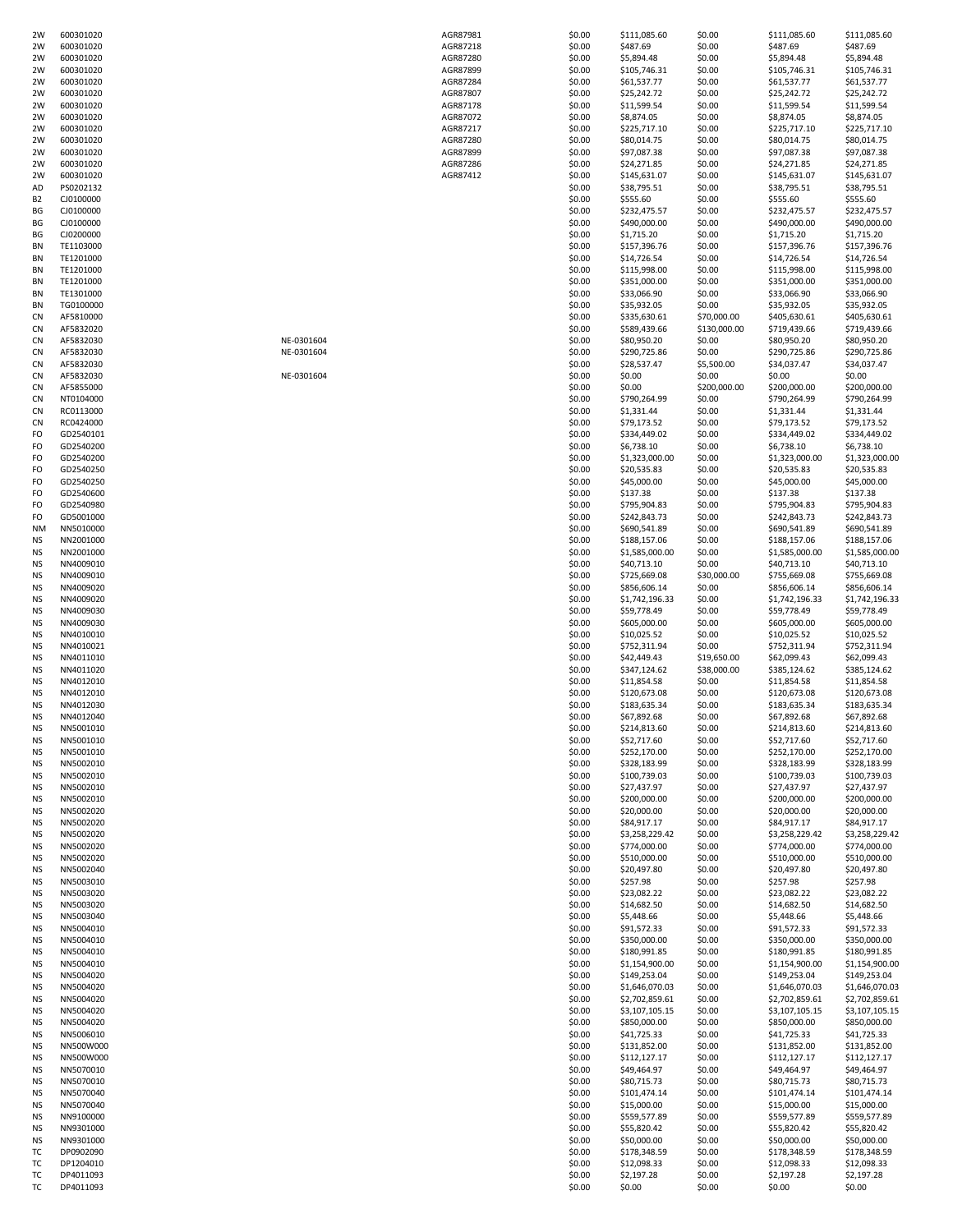| 2W              | 600301020              |            | AGR87981             | \$0.00           | \$111,085.60                | \$0.00           | \$111,085.60                | \$111,085.60                |
|-----------------|------------------------|------------|----------------------|------------------|-----------------------------|------------------|-----------------------------|-----------------------------|
|                 | 600301020              |            | AGR87218             | \$0.00           | \$487.69                    | \$0.00           | \$487.69                    | \$487.69                    |
| 2W              | 600301020              |            | AGR87280             | \$0.00           | \$5,894.48                  | \$0.00           | \$5,894.48                  | \$5,894.48                  |
| 2W              | 600301020              |            | AGR87899             | \$0.00           | \$105,746.31                | \$0.00           | \$105,746.31                | \$105,746.31                |
| 2W<br>2W        | 600301020<br>600301020 |            | AGR87284<br>AGR87807 | \$0.00<br>\$0.00 | \$61,537.77<br>\$25,242.72  | \$0.00<br>\$0.00 | \$61,537.77<br>\$25,242.72  | \$61,537.77<br>\$25,242.72  |
| 2W              | 600301020              |            | AGR87178             | \$0.00           | \$11,599.54                 | \$0.00           | \$11,599.54                 | \$11,599.54                 |
| 2W              | 600301020              |            | AGR87072             | \$0.00           | \$8,874.05                  | \$0.00           | \$8,874.05                  | \$8,874.05                  |
| 2W              | 600301020              |            | AGR87217             | \$0.00           | \$225,717.10                | \$0.00           | \$225,717.10                | \$225,717.10                |
| 2W              | 600301020              |            | AGR87280             | \$0.00           | \$80,014.75                 | \$0.00           | \$80,014.75                 | \$80,014.75                 |
| 2W              | 600301020              |            | AGR87899             | \$0.00           | \$97,087.38                 | \$0.00           | \$97,087.38                 | \$97,087.38                 |
| 2W              | 600301020              |            | AGR87286             | \$0.00           | \$24,271.85                 | \$0.00           | \$24,271.85                 | \$24,271.85                 |
| 2W              | 600301020              |            | AGR87412             | \$0.00           | \$145,631.07                | \$0.00           | \$145,631.07                | \$145,631.07                |
| AD              | PS0202132              |            |                      | \$0.00           | \$38,795.51                 | \$0.00           | \$38,795.51                 | \$38,795.51                 |
| B <sub>2</sub>  | CJ0100000              |            |                      | \$0.00           | \$555.60                    | \$0.00           | \$555.60                    | \$555.60                    |
| ΒG              | CJ0100000              |            |                      | \$0.00           | \$232,475.57                | \$0.00           | \$232,475.57                | \$232,475.57                |
| ΒG              | CJ0100000              |            |                      | \$0.00           | \$490,000.00                | \$0.00           | \$490,000.00                | \$490,000.00                |
| ВG              | CJ0200000              |            |                      | \$0.00           | \$1,715.20                  | \$0.00           | \$1,715.20                  | \$1,715.20                  |
| BN              | TE1103000              |            |                      | \$0.00           | \$157,396.76                | \$0.00           | \$157,396.76                | \$157,396.76                |
| BN<br>BN        | TE1201000<br>TE1201000 |            |                      | \$0.00<br>\$0.00 | \$14,726.54<br>\$115,998.00 | \$0.00<br>\$0.00 | \$14,726.54<br>\$115,998.00 | \$14,726.54<br>\$115,998.00 |
| BN              | TE1201000              |            |                      | \$0.00           | \$351,000.00                | \$0.00           | \$351,000.00                | \$351,000.00                |
| BN              | TE1301000              |            |                      | \$0.00           | \$33,066.90                 | \$0.00           | \$33,066.90                 | \$33,066.90                 |
| BN              | TG0100000              |            |                      | \$0.00           | \$35,932.05                 | \$0.00           | \$35,932.05                 | \$35,932.05                 |
| CN              | AF5810000              |            |                      | \$0.00           | \$335,630.61                | \$70,000.00      | \$405,630.61                | \$405,630.61                |
| CN              | AF5832020              |            |                      | \$0.00           | \$589,439.66                | \$130,000.00     | \$719,439.66                | \$719,439.66                |
| CN              | AF5832030              | NE-0301604 |                      | \$0.00           | \$80,950.20                 | \$0.00           | \$80,950.20                 | \$80,950.20                 |
| CN              | AF5832030              | NE-0301604 |                      | \$0.00           | \$290,725.86                | \$0.00           | \$290,725.86                | \$290,725.86                |
| CN              | AF5832030              |            |                      | \$0.00           | \$28,537.47                 | \$5,500.00       | \$34,037.47                 | \$34,037.47                 |
| CN              | AF5832030              | NE-0301604 |                      | \$0.00           | \$0.00                      | \$0.00           | \$0.00                      | \$0.00                      |
| CN              | AF5855000              |            |                      | \$0.00           | \$0.00                      | \$200,000.00     | \$200,000.00                | \$200,000.00                |
| CN              | NT0104000              |            |                      | \$0.00           | \$790,264.99                | \$0.00           | \$790,264.99                | \$790,264.99                |
| CN              | RC0113000              |            |                      | \$0.00           | \$1,331.44                  | \$0.00           | \$1,331.44                  | \$1,331.44                  |
| CN              | RC0424000              |            |                      | \$0.00           | \$79,173.52                 | \$0.00           | \$79,173.52                 | \$79,173.52                 |
| FO              | GD2540101              |            |                      | \$0.00           | \$334,449.02                | \$0.00           | \$334,449.02                | \$334,449.02                |
| FO              | GD2540200              |            |                      | \$0.00           | \$6,738.10                  | \$0.00           | \$6,738.10                  | \$6,738.10                  |
| FO              | GD2540200              |            |                      | \$0.00           | \$1,323,000.00              | \$0.00           | \$1,323,000.00              | \$1,323,000.00              |
| FO              | GD2540250              |            |                      | \$0.00           | \$20,535.83                 | \$0.00<br>\$0.00 | \$20,535.83                 | \$20,535.83                 |
| FO<br>FO        | GD2540250              |            |                      | \$0.00           | \$45,000.00                 |                  | \$45,000.00                 | \$45,000.00                 |
| FO              | GD2540600<br>GD2540980 |            |                      | \$0.00<br>\$0.00 | \$137.38<br>\$795,904.83    | \$0.00<br>\$0.00 | \$137.38<br>\$795,904.83    | \$137.38<br>\$795,904.83    |
| FO              | GD5001000              |            |                      | \$0.00           | \$242,843.73                | \$0.00           | \$242,843.73                | \$242,843.73                |
| NM              | NN5010000              |            |                      | \$0.00           | \$690,541.89                | \$0.00           | \$690,541.89                | \$690,541.89                |
| ΝS              | NN2001000              |            |                      | \$0.00           | \$188,157.06                | \$0.00           | \$188,157.06                | \$188,157.06                |
| ΝS              | NN2001000              |            |                      | \$0.00           | \$1,585,000.00              | \$0.00           | \$1,585,000.00              | \$1,585,000.00              |
| ΝS              | NN4009010              |            |                      | \$0.00           | \$40,713.10                 | \$0.00           | \$40,713.10                 | \$40,713.10                 |
| ΝS              | NN4009010              |            |                      | \$0.00           | \$725,669.08                | \$30,000.00      | \$755,669.08                | \$755,669.08                |
| ΝS              | NN4009020              |            |                      | \$0.00           | \$856,606.14                | \$0.00           | \$856,606.14                | \$856,606.14                |
| ΝS              | NN4009020              |            |                      | \$0.00           | \$1,742,196.33              | \$0.00           | \$1,742,196.33              | \$1,742,196.33              |
| <b>NS</b>       | NN4009030              |            |                      | \$0.00           | \$59,778.49                 | \$0.00           | \$59,778.49                 | \$59,778.49                 |
| ΝS              | NN4009030              |            |                      | \$0.00           | \$605,000.00                | \$0.00           | \$605,000.00                | \$605,000.00                |
| ΝS              | NN4010010              |            |                      | \$0.00           | \$10,025.52                 | \$0.00           | \$10,025.52                 | \$10,025.52                 |
| <b>NS</b>       | NN4010021              |            |                      | \$0.00           | \$752,311.94                | \$0.00           | \$752,311.94                | \$752,311.94                |
| ΝS              | NN4011010              |            |                      | \$0.00           | \$42,449.43                 | \$19,650.00      | \$62,099.43                 | \$62,099.43                 |
| ΝS              | NN4011020              |            |                      | \$0.00           | \$347,124.62                | \$38,000.00      | \$385,124.62                | \$385,124.62                |
| ΝS              | NN4012010              |            |                      | \$0.00           | \$11,854.58                 | \$0.00           | \$11,854.58                 | \$11,854.58                 |
| <b>NS</b>       | NN4012010              |            |                      | \$0.00           | \$120,673.08                | \$0.00           | \$120,673.08                | \$120,673.08                |
| ΝS              | NN4012030              |            |                      | \$0.00           | \$183,635.34                | \$0.00           | \$183,635.34                | \$183,635.34                |
| <b>NS</b>       | NN4012040              |            |                      | \$0.00           | \$67,892.68                 | \$0.00           | \$67,892.68                 | \$67,892.68                 |
| <b>NS</b>       | NN5001010              |            |                      | \$0.00           | \$214,813.60                | \$0.00           | \$214,813.60                | \$214,813.60                |
| <b>NS</b>       | NN5001010              |            |                      | \$0.00           | \$52,717.60                 | \$0.00           | \$52,717.60                 | \$52,717.60                 |
| ΝS              | NN5001010              |            |                      |                  | \$252,170.00                | \$0.00           |                             | \$252,170.00                |
| ΝS              | NN5002010              |            |                      | \$0.00           |                             |                  | \$252,170.00                |                             |
| ΝS              | NN5002010              |            |                      | \$0.00           | \$328,183.99                | \$0.00           | \$328,183.99                | \$328,183.99                |
| ΝS              |                        |            |                      | \$0.00           | \$100,739.03                | \$0.00           | \$100,739.03                | \$100,739.03                |
|                 | NN5002010              |            |                      | \$0.00           | \$27,437.97                 | \$0.00           | \$27,437.97                 | \$27,437.97                 |
| ΝS              | NN5002010              |            |                      | \$0.00           | \$200,000.00                | \$0.00           | \$200,000.00                | \$200,000.00                |
| ΝS              | NN5002020              |            |                      | \$0.00           | \$20,000.00                 | \$0.00           | \$20,000.00                 | \$20,000.00                 |
| ΝS              | NN5002020              |            |                      | \$0.00           | \$84,917.17                 | \$0.00           | \$84,917.17                 | \$84,917.17                 |
| ΝS              | NN5002020              |            |                      | \$0.00           | \$3,258,229.42              | \$0.00           | \$3,258,229.42              | \$3,258,229.42              |
| ΝS              | NN5002020              |            |                      | \$0.00           | \$774,000.00                | \$0.00           | \$774,000.00                | \$774,000.00                |
| ΝS              | NN5002020              |            |                      | \$0.00           | \$510,000.00                | \$0.00           | \$510,000.00                | \$510,000.00                |
| ΝS<br><b>NS</b> | NN5002040<br>NN5003010 |            |                      | \$0.00<br>\$0.00 | \$20,497.80<br>\$257.98     | \$0.00<br>\$0.00 | \$20,497.80<br>\$257.98     | \$20,497.80<br>\$257.98     |
| ΝS              | NN5003020              |            |                      | \$0.00           | \$23,082.22                 | \$0.00           | \$23,082.22                 | \$23,082.22                 |
| ΝS              | NN5003020              |            |                      | \$0.00           | \$14,682.50                 | \$0.00           | \$14,682.50                 | \$14,682.50                 |
| <b>NS</b>       | NN5003040              |            |                      | \$0.00           | \$5,448.66                  | \$0.00           | \$5,448.66                  | \$5,448.66                  |
| ΝS              | NN5004010              |            |                      | \$0.00           | \$91,572.33                 | \$0.00           | \$91,572.33                 | \$91,572.33                 |
| ΝS              | NN5004010              |            |                      | \$0.00           | \$350,000.00                | \$0.00           | \$350,000.00                | \$350,000.00                |
| ΝS              | NN5004010              |            |                      | \$0.00           | \$180,991.85                | \$0.00           | \$180,991.85                | \$180,991.85                |
| <b>NS</b>       | NN5004010              |            |                      | \$0.00           | \$1,154,900.00              | \$0.00           | \$1,154,900.00              | \$1,154,900.00              |
| ΝS              | NN5004020              |            |                      | \$0.00           | \$149,253.04                | \$0.00           | \$149,253.04                | \$149,253.04                |
| ΝS              | NN5004020              |            |                      | \$0.00           | \$1,646,070.03              | \$0.00           | \$1,646,070.03              | \$1,646,070.03              |
| ΝS              | NN5004020              |            |                      | \$0.00           | \$2,702,859.61              | \$0.00           | \$2,702,859.61              | \$2,702,859.61              |
| ΝS              | NN5004020              |            |                      | \$0.00           | \$3,107,105.15              | \$0.00           | \$3,107,105.15              | \$3,107,105.15              |
| ΝS              | NN5004020              |            |                      | \$0.00           | \$850,000.00                | \$0.00           | \$850,000.00                | \$850,000.00                |
| ΝS              | NN5006010              |            |                      | \$0.00           | \$41,725.33                 | \$0.00           | \$41,725.33                 | \$41,725.33                 |
| ΝS              | NN500W000              |            |                      | \$0.00           | \$131,852.00                | \$0.00           | \$131,852.00                | \$131,852.00                |
| ΝS              | NN500W000              |            |                      | \$0.00           | \$112,127.17                | \$0.00           | \$112,127.17                | \$112,127.17                |
| ΝS              | NN5070010              |            |                      | \$0.00           | \$49,464.97                 | \$0.00           | \$49,464.97                 | \$49,464.97                 |
| ΝS              | NN5070010              |            |                      | \$0.00           | \$80,715.73                 | \$0.00           | \$80,715.73                 | \$80,715.73                 |
| ΝS              | NN5070040              |            |                      | \$0.00           | \$101,474.14                | \$0.00           | \$101,474.14                | \$101,474.14                |
| ΝS              | NN5070040              |            |                      | \$0.00           | \$15,000.00                 | \$0.00           | \$15,000.00                 | \$15,000.00                 |
| ΝS              | NN9100000              |            |                      | \$0.00           | \$559,577.89                | \$0.00           | \$559,577.89                | \$559,577.89                |
| ΝS              | NN9301000              |            |                      | \$0.00           | \$55,820.42                 | \$0.00           | \$55,820.42                 | \$55,820.42                 |
| ΝS              | NN9301000              |            |                      | \$0.00           | \$50,000.00                 | \$0.00           | \$50,000.00                 | \$50,000.00                 |
| тc              | DP0902090              |            |                      | \$0.00           | \$178,348.59                | \$0.00           | \$178,348.59                | \$178,348.59                |
| тс<br>тc        | DP1204010<br>DP4011093 |            |                      | \$0.00<br>\$0.00 | \$12,098.33<br>\$2,197.28   | \$0.00<br>\$0.00 | \$12,098.33<br>\$2,197.28   | \$12,098.33<br>\$2,197.28   |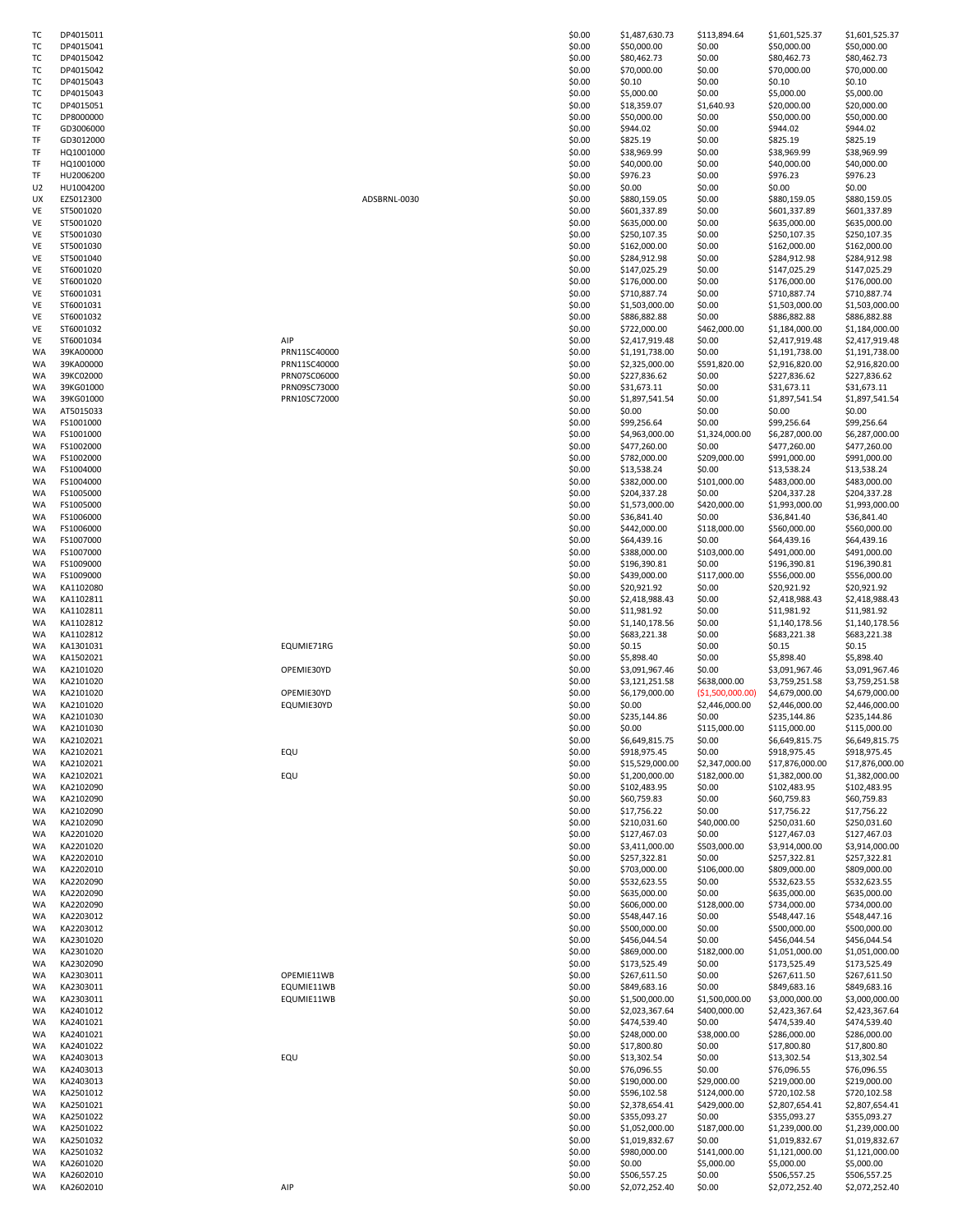| тс        | DP4015011    |
|-----------|--------------|
|           |              |
| т         | DP4015041    |
| т         | DP4015042    |
| т         | DP4015042    |
| T(        | DP4015043    |
|           |              |
| т         | DP4015043    |
| т         | DP4015051    |
| TΩ        | DP8000000    |
| TF        |              |
|           | GD3006000    |
| TF        | GD3012000    |
| TF        | HQ1001000    |
| TF        | HQ1001000    |
|           |              |
| TF        | HU2006200    |
| U2        | HU1004200    |
| UX        | EZ5012300    |
| VE        | ST5001020    |
|           |              |
| VE        | ST5001020    |
| VE        | ST5001030    |
| VE        | ST5001030    |
|           |              |
| VE        | ST5001040    |
| VE        | ST6001020    |
| VE        | ST6001020    |
| VE        | ST6001031    |
|           |              |
| VE        | ST6001031    |
| VE        | ST6001032    |
| VE        | ST6001032    |
| VE        | ST6001034    |
|           |              |
| WA        | 39KA00000    |
| WA        | 39KA00000    |
| WA        | 39KC02000    |
| WA        | 39KG01000    |
|           |              |
| WA        | 39KG01000    |
| WA        | AT5015033    |
| WA        | FS1001000    |
|           |              |
| WA        | FS1001000    |
| WA        | FS1002000    |
| WA        | FS1002000    |
| WA        | FS1004000    |
|           |              |
| WA        | FS1004000    |
| WA        | FS1005000    |
| WA        | FS1005000    |
| WA        | FS1006000    |
|           |              |
| WA        | FS1006000    |
| WA        | FS1007000    |
| WA        | FS1007000    |
|           |              |
| WA        | FS1009000    |
| WA        | FS1009000    |
| WA        | KA1102080    |
| WA        | KA1102811    |
| WA        |              |
|           | KA1102811    |
| WA        | KA1102812    |
| WA        | KA1102812    |
| WA        | KA1301031    |
|           | KA1502021    |
| WA        |              |
| WA        | KA2101020    |
| WA        | KA2101020    |
| WA        | KA2101020    |
| WA        | KA2101020    |
|           |              |
| wа        | А<br>2101030 |
| WA        | KA2101030    |
| WA        | KA2102021    |
| WA        |              |
|           | KA2102021    |
| WA        | KA2102021    |
| WA        | KA2102021    |
| WA        | KA2102090    |
| WA        | KA2102090    |
|           |              |
| WA        | KA2102090    |
| WA        | KA2102090    |
| WA        | KA2201020    |
| WA        | KA2201020    |
|           |              |
| WA        | KA2202010    |
| WA        | KA2202010    |
| WA        | KA2202090    |
| WA        | KA2202090    |
|           |              |
| <b>WA</b> | KA2202090    |
| WA        | KA2203012    |
| WA        | KA2203012    |
| WA        |              |
|           | KA2301020    |
| WA        | KA2301020    |
| WA        | KA2302090    |
| WA        | KA2303011    |
|           | KA2303011    |
| WA        |              |
| WA        | KA2303011    |
| WA        | KA2401012    |
| WA        | KA2401021    |
| WA        | KA2401021    |
|           |              |
| WA        | KA2401022    |
| WA        | KA2403013    |
| WA        | KA2403013    |
| WA        | KA2403013    |
|           |              |
| WA        | KA2501012    |
| WA        | KA2501021    |
| WA        | KA2501022    |
| WA        |              |
|           | KA2501022    |
| WA        | KA2501032    |
| WA        | KA2501032    |
| WA        | KA2601020    |
| WA        | KA2602010    |
|           |              |
| WA        | KA2602010    |

| ADSBRNL-003 |  |
|-------------|--|
|             |  |

| тс       | DP4015011              |              | \$0.00           | \$1,487,630.73                 | \$113,894.64     | \$1,601,525.37                 | \$1,601,525.37                 |
|----------|------------------------|--------------|------------------|--------------------------------|------------------|--------------------------------|--------------------------------|
| ТC       | DP4015041              |              | \$0.00           | \$50,000.00                    | \$0.00           | \$50,000.00                    | \$50,000.00                    |
| ТC       | DP4015042              |              | \$0.00           | \$80,462.73                    | \$0.00           | \$80,462.73                    | \$80,462.73                    |
|          |                        |              |                  |                                |                  |                                |                                |
| ТC       | DP4015042              |              | \$0.00           | \$70,000.00                    | \$0.00           | \$70,000.00                    | \$70,000.00                    |
| тс       | DP4015043              |              | \$0.00           | \$0.10                         | \$0.00           | \$0.10                         | \$0.10                         |
| тс       | DP4015043              |              | \$0.00           | \$5,000.00                     | \$0.00           | \$5,000.00                     | \$5,000.00                     |
| тс       | DP4015051              |              | \$0.00           | \$18,359.07                    | \$1,640.93       | \$20,000.00                    | \$20,000.00                    |
|          |                        |              |                  |                                |                  |                                |                                |
| тс       | DP8000000              |              | \$0.00           | \$50,000.00                    | \$0.00           | \$50,000.00                    | \$50,000.00                    |
| TF       | GD3006000              |              | \$0.00           | \$944.02                       | \$0.00           | \$944.02                       | \$944.02                       |
| TF       | GD3012000              |              | \$0.00           | \$825.19                       | \$0.00           | \$825.19                       | \$825.19                       |
| TF       |                        |              | \$0.00           |                                | \$0.00           |                                | \$38,969.99                    |
|          | HQ1001000              |              |                  | \$38,969.99                    |                  | \$38,969.99                    |                                |
| TF       | HQ1001000              |              | \$0.00           | \$40,000.00                    | \$0.00           | \$40,000.00                    | \$40,000.00                    |
| TF       | HU2006200              |              | \$0.00           | \$976.23                       | \$0.00           | \$976.23                       | \$976.23                       |
| U2       | HU1004200              |              | \$0.00           | \$0.00                         | \$0.00           | \$0.00                         | \$0.00                         |
|          |                        |              |                  |                                |                  |                                |                                |
| UX       | EZ5012300              | ADSBRNL-0030 | \$0.00           | \$880,159.05                   | \$0.00           | \$880,159.05                   | \$880,159.05                   |
| VE       | ST5001020              |              | \$0.00           | \$601,337.89                   | \$0.00           | \$601,337.89                   | \$601,337.89                   |
| VE       | ST5001020              |              | \$0.00           | \$635,000.00                   | \$0.00           | \$635,000.00                   | \$635,000.00                   |
|          |                        |              |                  |                                |                  |                                |                                |
| VE       | ST5001030              |              | \$0.00           | \$250,107.35                   | \$0.00           | \$250,107.35                   | \$250,107.35                   |
| VE       | ST5001030              |              | \$0.00           | \$162,000.00                   | \$0.00           | \$162,000.00                   | \$162,000.00                   |
| VE       | ST5001040              |              | \$0.00           | \$284,912.98                   | \$0.00           | \$284,912.98                   | \$284,912.98                   |
| VE       | ST6001020              |              | \$0.00           | \$147,025.29                   | \$0.00           | \$147,025.29                   | \$147,025.29                   |
|          |                        |              |                  |                                |                  |                                |                                |
| VE       | ST6001020              |              | \$0.00           | \$176,000.00                   | \$0.00           | \$176,000.00                   | \$176,000.00                   |
| VE       | ST6001031              |              | \$0.00           | \$710,887.74                   | \$0.00           | \$710,887.74                   | \$710,887.74                   |
| VE       | ST6001031              |              | \$0.00           | \$1,503,000.00                 | \$0.00           | \$1,503,000.00                 | \$1,503,000.00                 |
|          |                        |              |                  |                                |                  |                                |                                |
| VE       | ST6001032              |              | \$0.00           | \$886,882.88                   | \$0.00           | \$886,882.88                   | \$886,882.88                   |
| VE       | ST6001032              |              | \$0.00           | \$722,000.00                   | \$462,000.00     | \$1,184,000.00                 | \$1,184,000.00                 |
| VE       | ST6001034              | AIP          | \$0.00           | \$2,417,919.48                 | \$0.00           | \$2,417,919.48                 | \$2,417,919.48                 |
|          | 39KA00000              |              | \$0.00           | \$1,191,738.00                 | \$0.00           |                                | \$1,191,738.00                 |
| WA       |                        | PRN11SC40000 |                  |                                |                  | \$1,191,738.00                 |                                |
| WA       | 39KA00000              | PRN11SC40000 | \$0.00           | \$2,325,000.00                 | \$591,820.00     | \$2,916,820.00                 | \$2,916,820.00                 |
| WA       | 39KC02000              | PRN07SC06000 | \$0.00           | \$227,836.62                   | \$0.00           | \$227,836.62                   | \$227,836.62                   |
| WA       | 39KG01000              | PRN09SC73000 | \$0.00           | \$31,673.11                    | \$0.00           | \$31,673.11                    | \$31,673.11                    |
|          |                        |              |                  |                                |                  |                                |                                |
| WA       | 39KG01000              | PRN10SC72000 | \$0.00           | \$1,897,541.54                 | \$0.00           | \$1,897,541.54                 | \$1,897,541.54                 |
| WA       | AT5015033              |              | \$0.00           | \$0.00                         | \$0.00           | \$0.00                         | \$0.00                         |
| WA       | FS1001000              |              | \$0.00           | \$99,256.64                    | \$0.00           | \$99,256.64                    | \$99,256.64                    |
|          |                        |              |                  |                                |                  |                                |                                |
| WA       | FS1001000              |              | \$0.00           | \$4,963,000.00                 | \$1,324,000.00   | \$6,287,000.00                 | \$6,287,000.00                 |
| WA       | FS1002000              |              | \$0.00           | \$477,260.00                   | \$0.00           | \$477,260.00                   | \$477,260.00                   |
| WA       | FS1002000              |              | \$0.00           | \$782,000.00                   | \$209,000.00     | \$991,000.00                   | \$991,000.00                   |
|          | FS1004000              |              | \$0.00           | \$13,538.24                    | \$0.00           | \$13,538.24                    | \$13,538.24                    |
| WA       |                        |              |                  |                                |                  |                                |                                |
| WA       | FS1004000              |              | \$0.00           | \$382,000.00                   | \$101,000.00     | \$483,000.00                   | \$483,000.00                   |
| WA       | FS1005000              |              | \$0.00           | \$204,337.28                   | \$0.00           | \$204,337.28                   | \$204,337.28                   |
| WA       | FS1005000              |              | \$0.00           | \$1,573,000.00                 | \$420,000.00     | \$1,993,000.00                 | \$1,993,000.00                 |
|          |                        |              |                  |                                |                  |                                |                                |
| WA       | FS1006000              |              | \$0.00           | \$36,841.40                    | \$0.00           | \$36,841.40                    | \$36,841.40                    |
| WA       | FS1006000              |              | \$0.00           | \$442,000.00                   | \$118,000.00     | \$560,000.00                   | \$560,000.00                   |
| WA       | FS1007000              |              | \$0.00           | \$64,439.16                    | \$0.00           | \$64,439.16                    | \$64,439.16                    |
|          |                        |              |                  |                                |                  |                                |                                |
| WA       | FS1007000              |              | \$0.00           | \$388,000.00                   | \$103,000.00     | \$491,000.00                   | \$491,000.00                   |
| WA       | FS1009000              |              | \$0.00           | \$196,390.81                   | \$0.00           | \$196,390.81                   | \$196,390.81                   |
| WA       | FS1009000              |              | \$0.00           | \$439,000.00                   | \$117,000.00     | \$556,000.00                   | \$556,000.00                   |
| WA       | KA1102080              |              | \$0.00           | \$20,921.92                    | \$0.00           | \$20,921.92                    | \$20,921.92                    |
|          |                        |              |                  |                                |                  |                                |                                |
| WA       | KA1102811              |              | \$0.00           | \$2,418,988.43                 | \$0.00           | \$2,418,988.43                 | \$2,418,988.43                 |
| WA       | KA1102811              |              | \$0.00           | \$11,981.92                    | \$0.00           | \$11,981.92                    | \$11,981.92                    |
| WA       | KA1102812              |              | \$0.00           | \$1,140,178.56                 | \$0.00           | \$1,140,178.56                 | \$1,140,178.56                 |
|          |                        |              |                  |                                |                  |                                |                                |
| WA       | KA1102812              |              | \$0.00           | \$683,221.38                   | \$0.00           | \$683,221.38                   | \$683,221.38                   |
| WA       | KA1301031              | EQUMIE71RG   | \$0.00           | \$0.15                         | \$0.00           | \$0.15                         | \$0.15                         |
| WA       | KA1502021              |              | \$0.00           | \$5,898.40                     | \$0.00           | \$5,898.40                     | \$5,898.40                     |
|          | KA2101020              | OPEMIE30YD   | \$0.00           |                                | \$0.00           |                                |                                |
| WA       |                        |              |                  | \$3,091,967.46                 |                  | \$3,091,967.46                 | \$3,091,967.46                 |
| WA       | KA2101020              |              | \$0.00           | \$3,121,251.58                 | \$638,000.00     | \$3,759,251.58                 | \$3,759,251.58                 |
| WA       | KA2101020              | OPEMIE30YD   | \$0.00           | \$6,179,000.00                 | (\$1,500,000.00) | \$4,679,000.00                 | \$4,679,000.00                 |
| WA       | KA2101020              | EQUMIE30YD   | \$0.00           | \$0.00                         | \$2,446,000.00   | \$2,446,000.00                 | \$2,446,000.00                 |
|          |                        |              |                  |                                |                  |                                |                                |
| WA       | KA2101030              |              | \$0.00           | \$235,144.86                   | \$0.00           | \$235,144.86                   | \$235,144.86                   |
| WA       | KA2101030              |              | \$0.00           | \$0.00                         | \$115,000.00     | \$115,000.00                   | \$115,000.00                   |
| WA       | KA2102021              |              | \$0.00           | \$6,649,815.75                 | \$0.00           | \$6,649,815.75                 | \$6,649,815.75                 |
|          |                        |              |                  |                                |                  |                                |                                |
| WA       | KA2102021              | EQU          | \$0.00           | \$918,975.45                   | \$0.00           | \$918,975.45                   | \$918,975.45                   |
| WA       | KA2102021              |              | \$0.00           | \$15,529,000.00                | \$2,347,000.00   | \$17,876,000.00                | \$17,876,000.00                |
| WA       | KA2102021              | EQU          | \$0.00           | \$1,200,000.00                 | \$182,000.00     | \$1,382,000.00                 | \$1,382,000.00                 |
| WA       | KA2102090              |              | \$0.00           | \$102,483.95                   | \$0.00           | \$102,483.95                   | \$102,483.95                   |
|          |                        |              |                  |                                |                  |                                |                                |
| WA       | KA2102090              |              | \$0.00           | \$60,759.83                    | \$0.00           | \$60,759.83                    | \$60,759.83                    |
| WA       | KA2102090              |              | \$0.00           | \$17,756.22                    | \$0.00           | \$17,756.22                    | \$17,756.22                    |
| WA       | KA2102090              |              | \$0.00           | \$210,031.60                   | \$40,000.00      | \$250,031.60                   | \$250,031.60                   |
| WA       | KA2201020              |              | \$0.00           | \$127,467.03                   | \$0.00           | \$127,467.03                   | \$127,467.03                   |
|          |                        |              |                  |                                |                  |                                |                                |
| WA       | KA2201020              |              | \$0.00           | \$3,411,000.00                 | \$503,000.00     | \$3,914,000.00                 | \$3,914,000.00                 |
| WA       | KA2202010              |              | \$0.00           | \$257,322.81                   | \$0.00           | \$257,322.81                   | \$257,322.81                   |
| WA       | KA2202010              |              | \$0.00           | \$703,000.00                   | \$106,000.00     | \$809,000.00                   | \$809,000.00                   |
|          |                        |              |                  |                                |                  |                                |                                |
| WA       | KA2202090              |              | \$0.00           | \$532,623.55                   | \$0.00           | \$532,623.55                   | \$532,623.55                   |
| WA       | KA2202090              |              | \$0.00           | \$635,000.00                   | \$0.00           | \$635,000.00                   | \$635,000.00                   |
| WA       | KA2202090              |              | \$0.00           | \$606,000.00                   | \$128,000.00     | \$734,000.00                   | \$734,000.00                   |
| WA       | KA2203012              |              | \$0.00           | \$548,447.16                   | \$0.00           | \$548,447.16                   | \$548,447.16                   |
|          |                        |              |                  |                                |                  |                                |                                |
| WA       | KA2203012              |              | \$0.00           | \$500,000.00                   | \$0.00           | \$500,000.00                   | \$500,000.00                   |
| WA       | KA2301020              |              | \$0.00           | \$456,044.54                   | \$0.00           | \$456,044.54                   | \$456,044.54                   |
| WA       | KA2301020              |              | \$0.00           | \$869,000.00                   | \$182,000.00     | \$1,051,000.00                 | \$1,051,000.00                 |
|          |                        |              |                  |                                |                  |                                |                                |
| WA       | KA2302090              |              | \$0.00           | \$173,525.49                   | \$0.00           | \$173,525.49                   | \$173,525.49                   |
| WA       | KA2303011              | OPEMIE11WB   | \$0.00           | \$267,611.50                   | \$0.00           | \$267,611.50                   | \$267,611.50                   |
| WA       | KA2303011              | EQUMIE11WB   | \$0.00           | \$849,683.16                   | \$0.00           | \$849,683.16                   | \$849,683.16                   |
| WA       | KA2303011              | EQUMIE11WB   | \$0.00           | \$1,500,000.00                 | \$1,500,000.00   | \$3,000,000.00                 | \$3,000,000.00                 |
|          |                        |              |                  |                                |                  |                                |                                |
| WA       | KA2401012              |              | \$0.00           | \$2,023,367.64                 | \$400,000.00     | \$2,423,367.64                 | \$2,423,367.64                 |
| WA       | KA2401021              |              | \$0.00           | \$474,539.40                   | \$0.00           | \$474,539.40                   | \$474,539.40                   |
| WA       | KA2401021              |              | \$0.00           | \$248,000.00                   | \$38,000.00      | \$286,000.00                   | \$286,000.00                   |
|          |                        |              |                  |                                |                  |                                |                                |
| WA       | KA2401022              |              | \$0.00           | \$17,800.80                    | \$0.00           | \$17,800.80                    | \$17,800.80                    |
| WA       | KA2403013              | EQU          | \$0.00           | \$13,302.54                    | \$0.00           | \$13,302.54                    | \$13,302.54                    |
| WA       | KA2403013              |              | \$0.00           | \$76,096.55                    | \$0.00           | \$76,096.55                    | \$76,096.55                    |
| WA       | KA2403013              |              | \$0.00           | \$190,000.00                   | \$29,000.00      | \$219,000.00                   | \$219,000.00                   |
|          |                        |              |                  |                                |                  |                                |                                |
| WA       | KA2501012              |              | \$0.00           | \$596,102.58                   | \$124,000.00     | \$720,102.58                   | \$720,102.58                   |
| WA       |                        |              | \$0.00           | \$2,378,654.41                 | \$429,000.00     | \$2,807,654.41                 | \$2,807,654.41                 |
|          | KA2501021              |              |                  |                                |                  |                                |                                |
|          |                        |              |                  |                                |                  |                                |                                |
| WA       | KA2501022              |              | \$0.00           | \$355,093.27                   | \$0.00           | \$355,093.27                   | \$355,093.27                   |
| WA       | KA2501022              |              | \$0.00           | \$1,052,000.00                 | \$187,000.00     | \$1,239,000.00                 | \$1,239,000.00                 |
| WA       | KA2501032              |              | \$0.00           | \$1,019,832.67                 | \$0.00           | \$1,019,832.67                 | \$1,019,832.67                 |
|          |                        |              |                  |                                |                  |                                |                                |
| WA       | KA2501032              |              | \$0.00           | \$980,000.00                   | \$141,000.00     | \$1,121,000.00                 | \$1,121,000.00                 |
| WA       | KA2601020              |              | \$0.00           | \$0.00                         | \$5,000.00       | \$5,000.00                     | \$5,000.00                     |
| WA<br>WA | KA2602010<br>KA2602010 | AIP          | \$0.00<br>\$0.00 | \$506,557.25<br>\$2,072,252.40 | \$0.00<br>\$0.00 | \$506,557.25<br>\$2,072,252.40 | \$506,557.25<br>\$2,072,252.40 |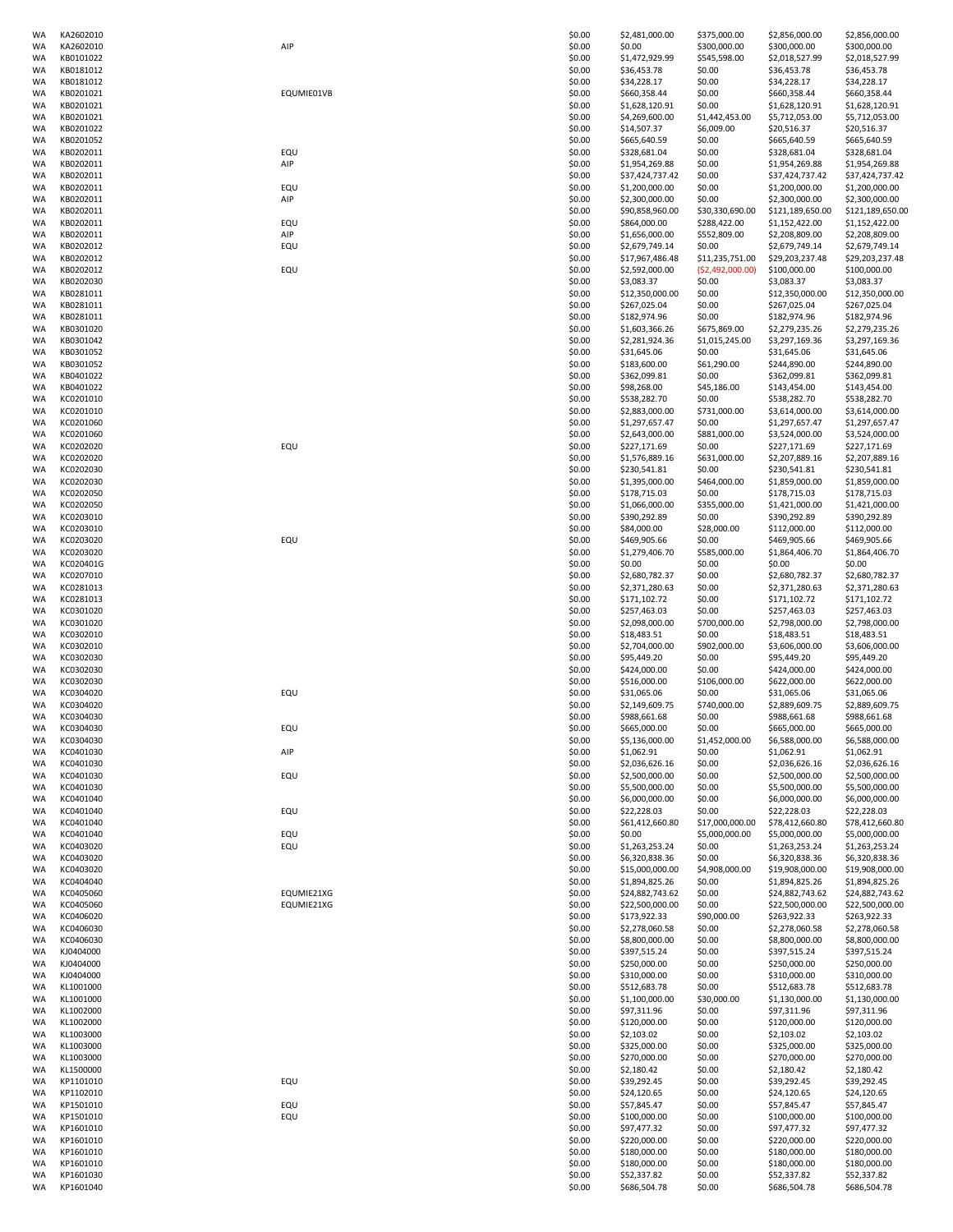| WA | KA2602010 |            | \$0.00 | \$2,481,000.00  | \$375,000.00      | \$2,856,000.00                    | \$2,856,000.00   |
|----|-----------|------------|--------|-----------------|-------------------|-----------------------------------|------------------|
|    | KA2602010 | AIP        | \$0.00 | \$0.00          | \$300,000.00      | \$300,000.00                      | \$300,000.00     |
| WA | KB0101022 |            | \$0.00 | \$1,472,929.99  | \$545,598.00      | \$2,018,527.99                    | \$2,018,527.99   |
| WA | KB0181012 |            | \$0.00 | \$36,453.78     | \$0.00            | \$36,453.78                       | \$36,453.78      |
| WA | KB0181012 |            | \$0.00 | \$34,228.17     | \$0.00            | \$34,228.17                       | \$34,228.17      |
| WA | KB0201021 | EQUMIE01VB | \$0.00 | \$660,358.44    | \$0.00            | \$660,358.44                      | \$660,358.44     |
|    |           |            |        |                 |                   |                                   |                  |
| WA | KB0201021 |            | \$0.00 | \$1,628,120.91  | \$0.00            | \$1,628,120.91                    | \$1,628,120.91   |
| WA | KB0201021 |            | \$0.00 | \$4,269,600.00  | \$1,442,453.00    | \$5,712,053.00                    | \$5,712,053.00   |
| WA | KB0201022 |            | \$0.00 | \$14,507.37     | \$6,009.00        | \$20,516.37                       | \$20,516.37      |
| WA | KB0201052 |            | \$0.00 | \$665,640.59    | \$0.00            | \$665,640.59                      | \$665,640.59     |
| WA | KB0202011 | EQU        | \$0.00 | \$328,681.04    | \$0.00            | \$328,681.04                      | \$328,681.04     |
| WA | KB0202011 | AIP        | \$0.00 | \$1,954,269.88  | \$0.00            | \$1,954,269.88                    | \$1,954,269.88   |
| WA | KB0202011 |            | \$0.00 | \$37,424,737.42 | \$0.00            | \$37,424,737.42                   | \$37,424,737.42  |
|    |           |            |        |                 |                   |                                   |                  |
| WA | KB0202011 | EQU        | \$0.00 | \$1,200,000.00  | \$0.00            | \$1,200,000.00                    | \$1,200,000.00   |
| WA | KB0202011 | AIP        | \$0.00 | \$2,300,000.00  | \$0.00            | \$2,300,000.00                    | \$2,300,000.00   |
| WA | KB0202011 |            | \$0.00 | \$90,858,960.00 | \$30,330,690.00   | \$121,189,650.00                  | \$121,189,650.00 |
| WA | KB0202011 | EQU        | \$0.00 | \$864,000.00    | \$288,422.00      | \$1,152,422.00                    | \$1,152,422.00   |
| WA | KB0202011 | AIP        | \$0.00 | \$1,656,000.00  | \$552,809.00      | \$2,208,809.00                    | \$2,208,809.00   |
| WA | KB0202012 | EQU        | \$0.00 | \$2,679,749.14  | \$0.00            | \$2,679,749.14                    | \$2,679,749.14   |
| WA | KB0202012 |            |        | \$17,967,486.48 |                   |                                   |                  |
|    |           |            | \$0.00 |                 | \$11,235,751.00   | \$29,203,237.48                   | \$29,203,237.48  |
| WA | KB0202012 | EQU        | \$0.00 | \$2,592,000.00  | ( \$2,492,000.00) | \$100,000.00                      | \$100,000.00     |
| WA | KB0202030 |            | \$0.00 | \$3,083.37      | \$0.00            | \$3,083.37                        | \$3,083.37       |
| WA | KB0281011 |            | \$0.00 | \$12,350,000.00 | \$0.00            | \$12,350,000.00                   | \$12,350,000.00  |
| WA | KB0281011 |            | \$0.00 | \$267,025.04    | \$0.00            | \$267,025.04                      | \$267,025.04     |
| WA | KB0281011 |            | \$0.00 | \$182,974.96    | \$0.00            | \$182,974.96                      | \$182,974.96     |
| WA | KB0301020 |            | \$0.00 | \$1,603,366.26  | \$675,869.00      | \$2,279,235.26                    | \$2,279,235.26   |
|    |           |            |        |                 |                   |                                   |                  |
| WA | KB0301042 |            | \$0.00 | \$2,281,924.36  | \$1,015,245.00    | \$3,297,169.36                    | \$3,297,169.36   |
| WA | KB0301052 |            | \$0.00 | \$31,645.06     | \$0.00            | \$31,645.06                       | \$31,645.06      |
| WA | KB0301052 |            | \$0.00 | \$183,600.00    | \$61,290.00       | \$244,890.00                      | \$244,890.00     |
| WA | KB0401022 |            | \$0.00 | \$362,099.81    | \$0.00            | \$362,099.81                      | \$362,099.81     |
| WA | KB0401022 |            | \$0.00 | \$98,268.00     | \$45,186.00       | \$143,454.00                      | \$143,454.00     |
| WA | KC0201010 |            | \$0.00 | \$538,282.70    | \$0.00            | \$538,282.70                      | \$538,282.70     |
| WA | KC0201010 |            | \$0.00 | \$2,883,000.00  | \$731,000.00      |                                   |                  |
|    |           |            |        |                 |                   | \$3,614,000.00                    | \$3,614,000.00   |
| WA | KC0201060 |            | \$0.00 | \$1,297,657.47  | \$0.00            | \$1,297,657.47                    | \$1,297,657.47   |
| WA | KC0201060 |            | \$0.00 | \$2,643,000.00  | \$881,000.00      | \$3,524,000.00                    | \$3,524,000.00   |
| WA | KC0202020 | EQU        | \$0.00 | \$227,171.69    | \$0.00            | \$227,171.69                      | \$227,171.69     |
| WA | KC0202020 |            | \$0.00 | \$1,576,889.16  | \$631,000.00      | \$2,207,889.16                    | \$2,207,889.16   |
| WA | KC0202030 |            | \$0.00 | \$230,541.81    | \$0.00            | \$230,541.81                      | \$230,541.81     |
| WA | KC0202030 |            | \$0.00 | \$1,395,000.00  | \$464,000.00      | \$1,859,000.00                    | \$1,859,000.00   |
|    |           |            |        |                 |                   |                                   |                  |
| WA | KC0202050 |            | \$0.00 | \$178,715.03    | \$0.00            | \$178,715.03                      | \$178,715.03     |
| WA | KC0202050 |            | \$0.00 | \$1,066,000.00  | \$355,000.00      | \$1,421,000.00                    | \$1,421,000.00   |
| WA | KC0203010 |            | \$0.00 | \$390,292.89    | \$0.00            | \$390,292.89                      | \$390,292.89     |
| WA | KC0203010 |            | \$0.00 | \$84,000.00     | \$28,000.00       | \$112,000.00                      | \$112,000.00     |
| WA | KC0203020 | EQU        | \$0.00 | \$469,905.66    | \$0.00            | \$469,905.66                      | \$469,905.66     |
| WA | KC0203020 |            | \$0.00 | \$1,279,406.70  | \$585,000.00      | \$1,864,406.70                    | \$1,864,406.70   |
| WA | KC020401G |            | \$0.00 | \$0.00          | \$0.00            | \$0.00                            | \$0.00           |
|    |           |            |        |                 |                   |                                   |                  |
| WA | KC0207010 |            | \$0.00 | \$2,680,782.37  | \$0.00            | \$2,680,782.37                    | \$2,680,782.37   |
| WA | KC0281013 |            | \$0.00 | \$2,371,280.63  | \$0.00            | \$2,371,280.63                    | \$2,371,280.63   |
| WA | KC0281013 |            | \$0.00 | \$171,102.72    | \$0.00            | \$171,102.72                      | \$171,102.72     |
| WA | KC0301020 |            | \$0.00 | \$257,463.03    | \$0.00            | \$257,463.03                      | \$257,463.03     |
| WA | KC0301020 |            | \$0.00 | \$2,098,000.00  | \$700,000.00      | \$2,798,000.00                    | \$2,798,000.00   |
| WA | KC0302010 |            | \$0.00 | \$18,483.51     | \$0.00            | \$18,483.51                       | \$18,483.51      |
|    |           |            |        |                 |                   |                                   |                  |
| WA | KC0302010 |            | \$0.00 | \$2,704,000.00  | \$902,000.00      | \$3,606,000.00                    | \$3,606,000.00   |
| WA | KC0302030 |            | \$0.00 | \$95,449.20     | \$0.00            | \$95,449.20                       | \$95,449.20      |
| WA | KC0302030 |            | \$0.00 | \$424,000.00    | \$0.00            | \$424,000.00                      | \$424,000.00     |
|    |           |            |        |                 |                   |                                   |                  |
| WA | KC0302030 |            | \$0.00 | \$516,000.00    | \$106,000.00      | \$622,000.00                      | \$622,000.00     |
|    |           |            |        |                 |                   |                                   |                  |
| WA | KC0304020 | EQU        | \$0.00 | \$31,065.06     | \$0.00            | \$31,065.06                       | \$31,065.06      |
| WA | KC0304020 |            | \$0.00 | \$2,149,609.75  | \$740,000,00      | \$2,889,609.75                    | \$2,889,609.75   |
| WA | KC0304030 |            | \$0.00 | \$988,661.68    | \$0.00            | \$988,661.68                      | \$988,661.68     |
| WA | KC0304030 | EQU        | \$0.00 | \$665,000.00    | \$0.00            | \$665,000.00                      | \$665,000.00     |
| WA | KC0304030 |            | \$0.00 | \$5,136,000.00  | \$1,452,000.00    | \$6,588,000.00                    | \$6,588,000.00   |
| WA | KC0401030 | AIP        | \$0.00 | \$1,062.91      | \$0.00            | \$1,062.91                        | \$1,062.91       |
| WA | KC0401030 |            | \$0.00 | \$2,036,626.16  | \$0.00            | \$2,036,626.16                    | \$2,036,626.16   |
|    |           |            |        |                 |                   |                                   |                  |
| WA | KC0401030 | EQU        | \$0.00 | \$2,500,000.00  | \$0.00            | \$2,500,000.00                    | \$2,500,000.00   |
| WA | KC0401030 |            | \$0.00 | \$5,500,000.00  | \$0.00            | \$5,500,000.00                    | \$5,500,000.00   |
| WA | KC0401040 |            | \$0.00 | \$6,000,000.00  | \$0.00            | \$6,000,000.00                    | \$6,000,000.00   |
| WA | KC0401040 | EQU        | \$0.00 | \$22,228.03     | \$0.00            | \$22,228.03                       | \$22,228.03      |
| WA | KC0401040 |            | \$0.00 | \$61,412,660.80 | \$17,000,000.00   | \$78,412,660.80                   | \$78,412,660.80  |
| WA | KC0401040 | EQU        | \$0.00 | \$0.00          | \$5,000,000.00    | \$5,000,000.00                    | \$5,000,000.00   |
| WA | KC0403020 | EQU        | \$0.00 | \$1,263,253.24  | \$0.00            | \$1,263,253.24                    | \$1,263,253.24   |
| WA | KC0403020 |            | \$0.00 | \$6,320,838.36  | \$0.00            |                                   |                  |
| WA | KC0403020 |            | \$0.00 |                 | \$4,908,000.00    | \$6,320,838.36<br>\$19,908,000.00 | \$6,320,838.36   |
|    |           |            |        | \$15,000,000.00 |                   |                                   | \$19,908,000.00  |
| WA | KC0404040 |            | \$0.00 | \$1,894,825.26  | \$0.00            | \$1,894,825.26                    | \$1,894,825.26   |
| WA | KC0405060 | EQUMIE21XG | \$0.00 | \$24,882,743.62 | \$0.00            | \$24,882,743.62                   | \$24,882,743.62  |
| WA | KC0405060 | EQUMIE21XG | \$0.00 | \$22,500,000.00 | \$0.00            | \$22,500,000.00                   | \$22,500,000.00  |
| WA | KC0406020 |            | \$0.00 | \$173,922.33    | \$90,000.00       | \$263,922.33                      | \$263,922.33     |
| WA | KC0406030 |            | \$0.00 | \$2,278,060.58  | \$0.00            | \$2,278,060.58                    | \$2,278,060.58   |
| WA | KC0406030 |            | \$0.00 | \$8,800,000.00  | \$0.00            | \$8,800,000.00                    | \$8,800,000.00   |
|    |           |            |        |                 |                   |                                   |                  |
| WA | KJ0404000 |            | \$0.00 | \$397,515.24    | \$0.00            | \$397,515.24                      | \$397,515.24     |
| WA | KJ0404000 |            | \$0.00 | \$250,000.00    | \$0.00            | \$250,000.00                      | \$250,000.00     |
| WA | KJ0404000 |            | \$0.00 | \$310,000.00    | \$0.00            | \$310,000.00                      | \$310,000.00     |
| WA | KL1001000 |            | \$0.00 | \$512,683.78    | \$0.00            | \$512,683.78                      | \$512,683.78     |
| WA | KL1001000 |            | \$0.00 | \$1,100,000.00  | \$30,000.00       | \$1,130,000.00                    | \$1,130,000.00   |
| WA | KL1002000 |            | \$0.00 | \$97,311.96     | \$0.00            | \$97,311.96                       | \$97,311.96      |
| WA | KL1002000 |            | \$0.00 | \$120,000.00    |                   | \$120,000.00                      |                  |
|    |           |            |        |                 | \$0.00            |                                   | \$120,000.00     |
| WA | KL1003000 |            | \$0.00 | \$2,103.02      | \$0.00            | \$2,103.02                        | \$2,103.02       |
| WA | KL1003000 |            | \$0.00 | \$325,000.00    | \$0.00            | \$325,000.00                      | \$325,000.00     |
| WA | KL1003000 |            | \$0.00 | \$270,000.00    | \$0.00            | \$270,000.00                      | \$270,000.00     |
| WA | KL1500000 |            | \$0.00 | \$2,180.42      | \$0.00            | \$2,180.42                        | \$2,180.42       |
| WA | KP1101010 | EQU        | \$0.00 | \$39,292.45     | \$0.00            | \$39,292.45                       | \$39,292.45      |
| WA | KP1102010 |            | \$0.00 | \$24,120.65     | \$0.00            | \$24,120.65                       | \$24,120.65      |
|    |           |            |        |                 |                   |                                   |                  |
| WA | KP1501010 | EQU        | \$0.00 | \$57,845.47     | \$0.00            | \$57,845.47                       | \$57,845.47      |
| WA | KP1501010 | EQU        | \$0.00 | \$100,000.00    | \$0.00            | \$100,000.00                      | \$100,000.00     |
| WA | KP1601010 |            | \$0.00 | \$97,477.32     | \$0.00            | \$97,477.32                       | \$97,477.32      |
| WA | KP1601010 |            | \$0.00 | \$220,000.00    | \$0.00            | \$220,000.00                      | \$220,000.00     |
| WA | KP1601010 |            | \$0.00 | \$180,000.00    | \$0.00            | \$180,000.00                      | \$180,000.00     |
| WA | KP1601010 |            | \$0.00 | \$180,000.00    | \$0.00            | \$180,000.00                      | \$180,000.00     |
| WA | KP1601030 |            | \$0.00 | \$52,337.82     | \$0.00            | \$52,337.82                       | \$52,337.82      |